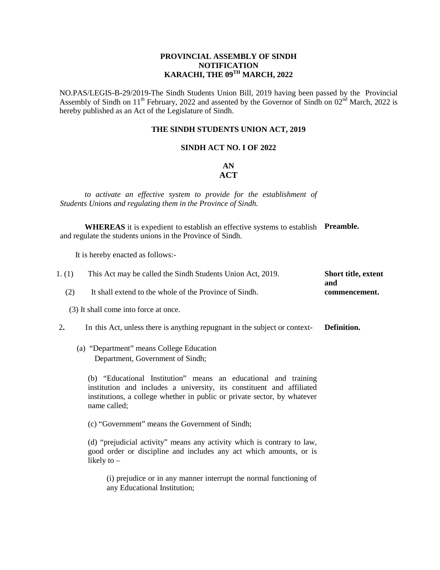### **PROVINCIAL ASSEMBLY OF SINDH NOTIFICATION KARACHI, THE 09TH MARCH, 2022**

NO.PAS/LEGIS-B-29/2019-The Sindh Students Union Bill, 2019 having been passed by the Provincial Assembly of Sindh on  $11<sup>th</sup>$  February, 2022 and assented by the Governor of Sindh on  $02<sup>nd</sup>$  March, 2022 is hereby published as an Act of the Legislature of Sindh.

#### **THE SINDH STUDENTS UNION ACT, 2019**

### **SINDH ACT NO. I OF 2022**

## **AN ACT**

*to activate an effective system to provide for the establishment of Students Unions and regulating them in the Province of Sindh.* 

**WHEREAS** it is expedient to establish an effective systems to establish **Preamble.** and regulate the students unions in the Province of Sindh.

It is hereby enacted as follows:-

| This Act may be called the Sindh Students Union Act, 2019. | <b>Short title, extent</b> |
|------------------------------------------------------------|----------------------------|
|                                                            | and                        |
| It shall extend to the whole of the Province of Sindh.     | commencement.              |
|                                                            |                            |

(3) It shall come into force at once.

2**.** In this Act, unless there is anything repugnant in the subject or context- **Definition.**

## (a) "Department" means College Education Department, Government of Sindh;

(b) "Educational Institution" means an educational and training institution and includes a university, its constituent and affiliated institutions, a college whether in public or private sector, by whatever name called;

(c) "Government" means the Government of Sindh;

(d) "prejudicial activity" means any activity which is contrary to law, good order or discipline and includes any act which amounts, or is likely to –

(i) prejudice or in any manner interrupt the normal functioning of any Educational Institution;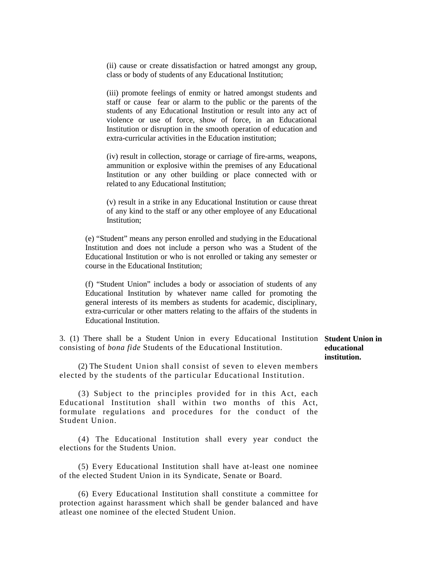(ii) cause or create dissatisfaction or hatred amongst any group, class or body of students of any Educational Institution;

(iii) promote feelings of enmity or hatred amongst students and staff or cause fear or alarm to the public or the parents of the students of any Educational Institution or result into any act of violence or use of force, show of force, in an Educational Institution or disruption in the smooth operation of education and extra-curricular activities in the Education institution;

(iv) result in collection, storage or carriage of fire-arms, weapons, ammunition or explosive within the premises of any Educational Institution or any other building or place connected with or related to any Educational Institution;

(v) result in a strike in any Educational Institution or cause threat of any kind to the staff or any other employee of any Educational Institution;

(e) "Student" means any person enrolled and studying in the Educational Institution and does not include a person who was a Student of the Educational Institution or who is not enrolled or taking any semester or course in the Educational Institution;

(f) "Student Union" includes a body or association of students of any Educational Institution by whatever name called for promoting the general interests of its members as students for academic, disciplinary, extra-curricular or other matters relating to the affairs of the students in Educational Institution.

3. (1) There shall be a Student Union in every Educational Institution **Student Union in**  consisting of *bona fide* Students of the Educational Institution.

(2) The Student Union shall consist of seven to eleven members elected by the students of the particular Educational Institution.

(3) Subject to the principles provided for in this Act, each Educational Institution shall within two months of this Act, formulate regulations and procedures for the conduct of the Student Union.

(4) The Educational Institution shall every year conduct the elections for the Students Union.

(5) Every Educational Institution shall have at-least one nominee of the elected Student Union in its Syndicate, Senate or Board.

(6) Every Educational Institution shall constitute a committee for protection against harassment which shall be gender balanced and have atleast one nominee of the elected Student Union.

**educational institution.**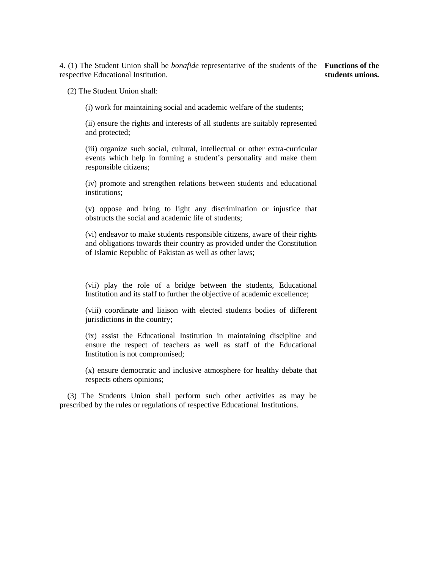4. (1) The Student Union shall be *bonafide* representative of the students of the **Functions of the**  respective Educational Institution. **students unions.**

(2) The Student Union shall:

(i) work for maintaining social and academic welfare of the students;

(ii) ensure the rights and interests of all students are suitably represented and protected;

(iii) organize such social, cultural, intellectual or other extra-curricular events which help in forming a student's personality and make them responsible citizens;

(iv) promote and strengthen relations between students and educational institutions;

(v) oppose and bring to light any discrimination or injustice that obstructs the social and academic life of students;

(vi) endeavor to make students responsible citizens, aware of their rights and obligations towards their country as provided under the Constitution of Islamic Republic of Pakistan as well as other laws;

(vii) play the role of a bridge between the students, Educational Institution and its staff to further the objective of academic excellence;

(viii) coordinate and liaison with elected students bodies of different jurisdictions in the country;

(ix) assist the Educational Institution in maintaining discipline and ensure the respect of teachers as well as staff of the Educational Institution is not compromised;

(x) ensure democratic and inclusive atmosphere for healthy debate that respects others opinions;

 (3) The Students Union shall perform such other activities as may be prescribed by the rules or regulations of respective Educational Institutions.